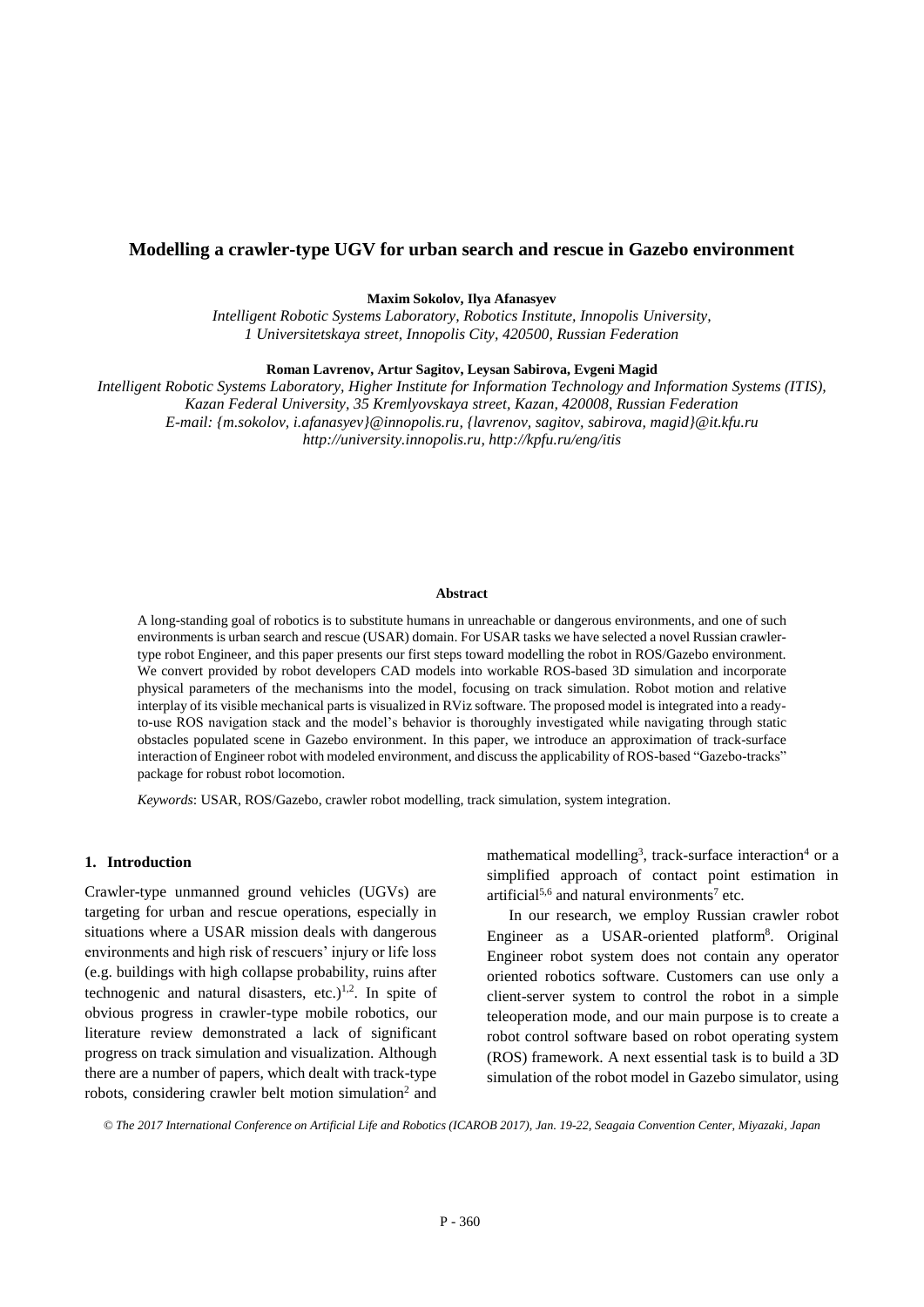# **Modelling a crawler-type UGV for urban search and rescue in Gazebo environment**

**Maxim Sokolov, Ilya Afanasyev**

*Intelligent Robotic Systems Laboratory, Robotics Institute, Innopolis University, 1 Universitetskaya street, Innopolis City, 420500, Russian Federation*

**Roman Lavrenov, Artur Sagitov, Leysan Sabirova, Evgeni Magid**

*Intelligent Robotic Systems Laboratory, Higher Institute for Information Technology and Information Systems (ITIS), Kazan Federal University, 35 Kremlyovskaya street, Kazan, 420008, Russian Federation E-mail: {m.sokolov, i.afanasyev}@innopolis.ru, {lavrenov, sagitov, sabirova, magid}@it.kfu.ru http://university.innopolis.ru, http://kpfu.ru/eng/itis*

#### **Abstract**

A long-standing goal of robotics is to substitute humans in unreachable or dangerous environments, and one of such environments is urban search and rescue (USAR) domain. For USAR tasks we have selected a novel Russian crawlertype robot Engineer, and this paper presents our first steps toward modelling the robot in ROS/Gazebo environment. We convert provided by robot developers CAD models into workable ROS-based 3D simulation and incorporate physical parameters of the mechanisms into the model, focusing on track simulation. Robot motion and relative interplay of its visible mechanical parts is visualized in RViz software. The proposed model is integrated into a readyto-use ROS navigation stack and the model's behavior is thoroughly investigated while navigating through static obstacles populated scene in Gazebo environment. In this paper, we introduce an approximation of track-surface interaction of Engineer robot with modeled environment, and discuss the applicability of ROS-based "Gazebo-tracks" package for robust robot locomotion.

*Keywords*: USAR, ROS/Gazebo, crawler robot modelling, track simulation, system integration.

### **1. Introduction**

Crawler-type unmanned ground vehicles (UGVs) are targeting for urban and rescue operations, especially in situations where a USAR mission deals with dangerous environments and high risk of rescuers' injury or life loss (e.g. buildings with high collapse probability, ruins after technogenic and natural disasters, etc.)<sup>1,2</sup>. In spite of obvious progress in crawler-type mobile robotics, our literature review demonstrated a lack of significant progress on track simulation and visualization. Although there are a number of papers, which dealt with track-type robots, considering crawler belt motion simulation<sup>2</sup> and mathematical modelling<sup>3</sup>, track-surface interaction<sup>4</sup> or a simplified approach of contact point estimation in artificial<sup>5,6</sup> and natural environments<sup>7</sup> etc.

In our research, we employ Russian crawler robot Engineer as a USAR-oriented platform<sup>8</sup>. Original Engineer robot system does not contain any operator oriented robotics software. Customers can use only a client-server system to control the robot in a simple teleoperation mode, and our main purpose is to create a robot control software based on robot operating system (ROS) framework. A next essential task is to build a 3D simulation of the robot model in Gazebo simulator, using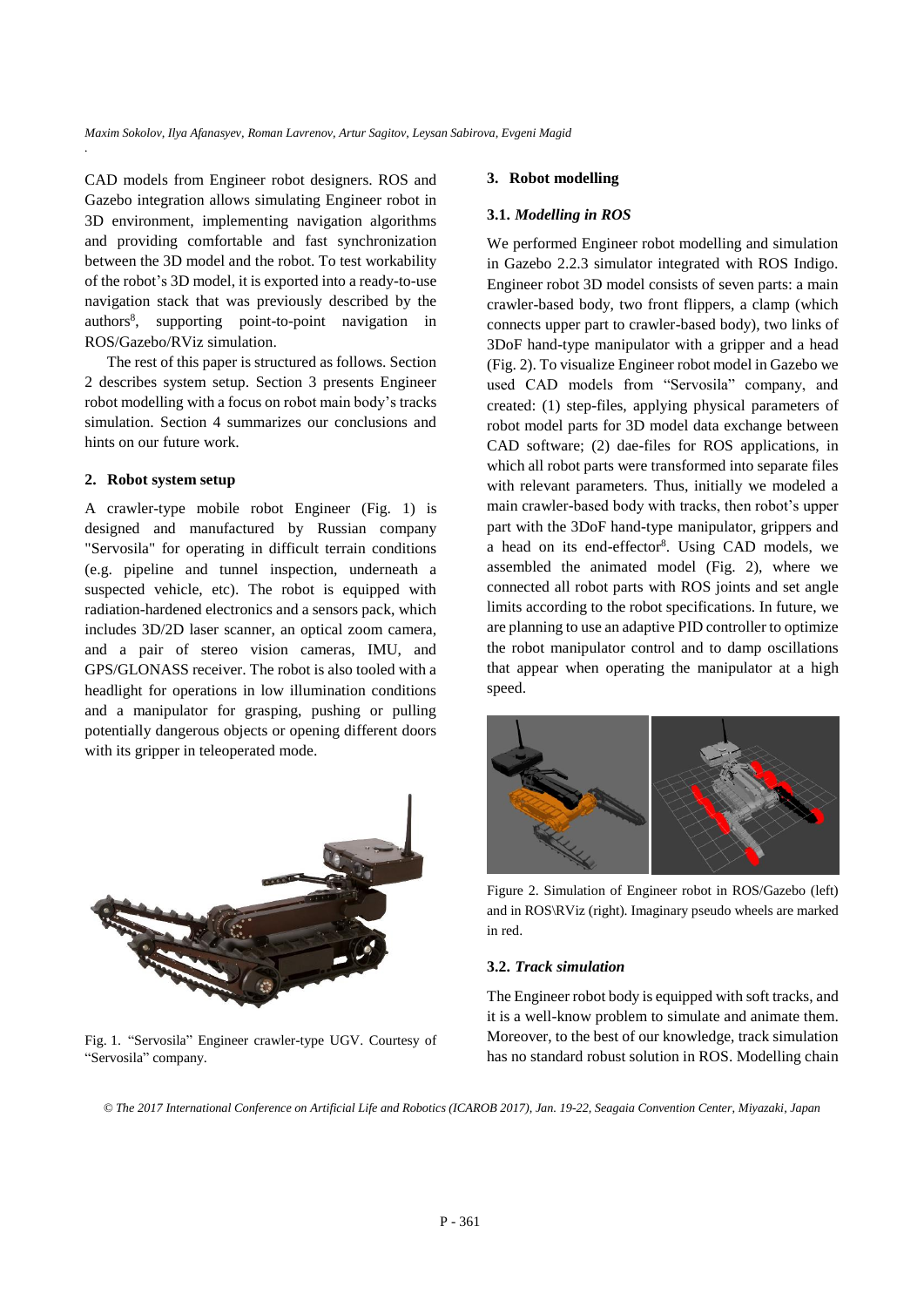CAD models from Engineer robot designers. ROS and Gazebo integration allows simulating Engineer robot in 3D environment, implementing navigation algorithms and providing comfortable and fast synchronization between the 3D model and the robot. To test workability of the robot's 3D model, it is exported into a ready-to-use navigation stack that was previously described by the authors<sup>8</sup> , supporting point-to-point navigation in ROS/Gazebo/RViz simulation.

The rest of this paper is structured as follows. Section 2 describes system setup. Section 3 presents Engineer robot modelling with a focus on robot main body's tracks simulation. Section 4 summarizes our conclusions and hints on our future work.

#### **2. Robot system setup**

*.*

A crawler-type mobile robot Engineer (Fig. 1) is designed and manufactured by Russian company "Servosila" for operating in difficult terrain conditions (e.g. pipeline and tunnel inspection, underneath a suspected vehicle, etc). The robot is equipped with radiation-hardened electronics and a sensors pack, which includes 3D/2D laser scanner, an optical zoom camera, and a pair of stereo vision cameras, IMU, and GPS/GLONASS receiver. The robot is also tooled with a headlight for operations in low illumination conditions and a manipulator for grasping, pushing or pulling potentially dangerous objects or opening different doors with its gripper in teleoperated mode.



Fig. 1. "Servosila" Engineer crawler-type UGV. Courtesy of "Servosila" company.

## **3. Robot modelling**

### **3.1.** *Modelling in ROS*

We performed Engineer robot modelling and simulation in Gazebo 2.2.3 simulator integrated with ROS Indigo. Engineer robot 3D model consists of seven parts: a main crawler-based body, two front flippers, a clamp (which connects upper part to crawler-based body), two links of 3DoF hand-type manipulator with a gripper and a head (Fig. 2). To visualize Engineer robot model in Gazebo we used CAD models from "Servosila" company, and created: (1) step-files, applying physical parameters of robot model parts for 3D model data exchange between CAD software; (2) dae-files for ROS applications, in which all robot parts were transformed into separate files with relevant parameters. Thus, initially we modeled a main crawler-based body with tracks, then robot's upper part with the 3DoF hand-type manipulator, grippers and a head on its end-effector<sup>8</sup>. Using CAD models, we assembled the animated model (Fig. 2), where we connected all robot parts with ROS joints and set angle limits according to the robot specifications. In future, we are planning to use an adaptive PID controller to optimize the robot manipulator control and to damp oscillations that appear when operating the manipulator at a high speed.



Figure 2. Simulation of Engineer robot in ROS/Gazebo (left) and in ROS\RViz (right). Imaginary pseudo wheels are marked in red.

#### **3.2.** *Track simulation*

The Engineer robot body is equipped with soft tracks, and it is a well-know problem to simulate and animate them. Moreover, to the best of our knowledge, track simulation has no standard robust solution in ROS. Modelling chain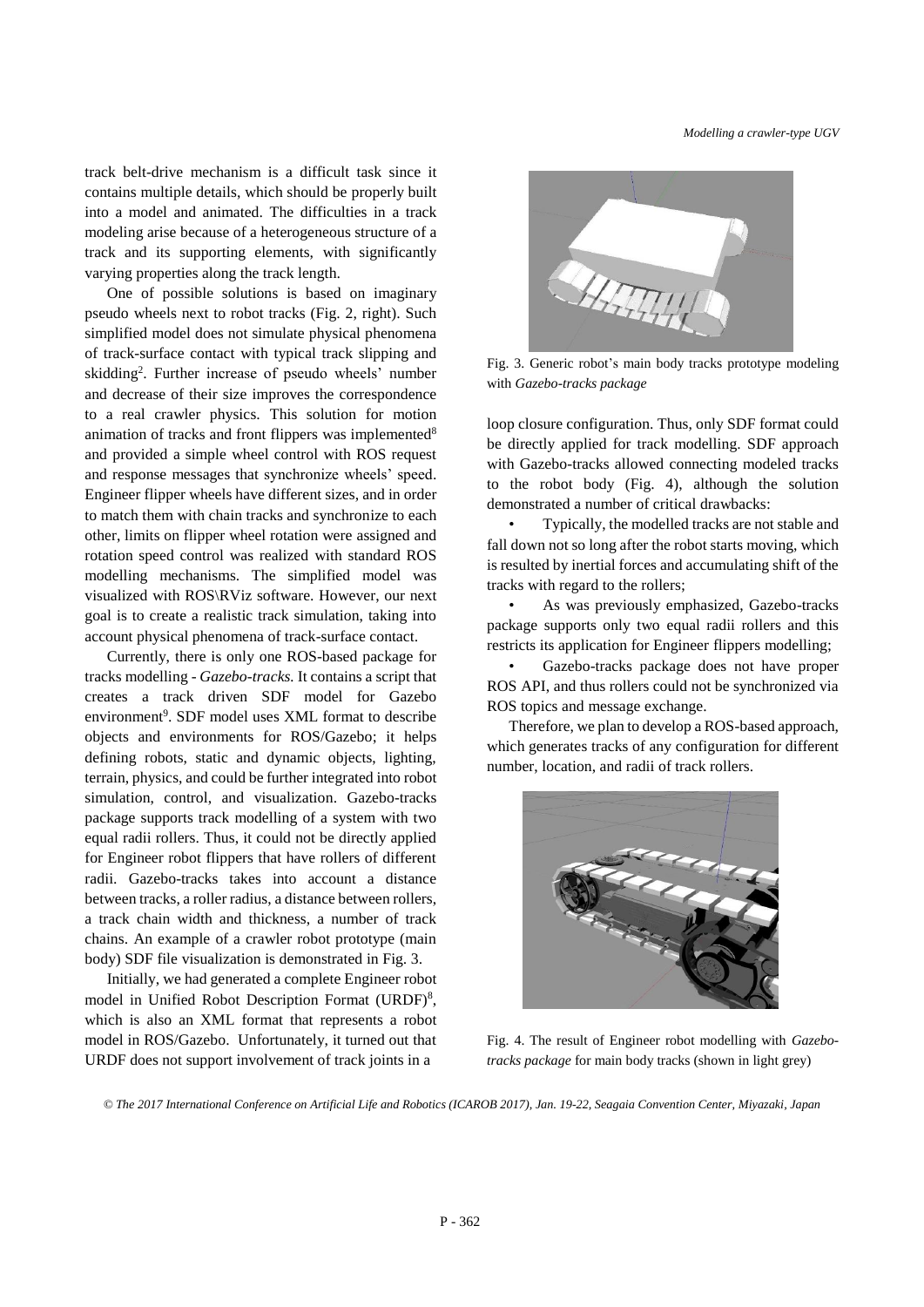track belt-drive mechanism is a difficult task since it contains multiple details, which should be properly built into a model and animated. The difficulties in a track modeling arise because of a heterogeneous structure of a track and its supporting elements, with significantly varying properties along the track length.

One of possible solutions is based on imaginary pseudo wheels next to robot tracks (Fig. 2, right). Such simplified model does not simulate physical phenomena of track-surface contact with typical track slipping and skidding<sup>2</sup>. Further increase of pseudo wheels' number and decrease of their size improves the correspondence to a real crawler physics. This solution for motion animation of tracks and front flippers was implemented<sup>8</sup> and provided a simple wheel control with ROS request and response messages that synchronize wheels' speed. Engineer flipper wheels have different sizes, and in order to match them with chain tracks and synchronize to each other, limits on flipper wheel rotation were assigned and rotation speed control was realized with standard ROS modelling mechanisms. The simplified model was visualized with ROS\RViz software. However, our next goal is to create a realistic track simulation, taking into account physical phenomena of track-surface contact.

Currently, there is only one ROS-based package for tracks modelling - *Gazebo-tracks.* It contains a script that creates a track driven SDF model for Gazebo environment<sup>9</sup>. SDF model uses XML format to describe objects and environments for ROS/Gazebo; it helps defining robots, static and dynamic objects, lighting, terrain, physics, and could be further integrated into robot simulation, control, and visualization. Gazebo-tracks package supports track modelling of a system with two equal radii rollers. Thus, it could not be directly applied for Engineer robot flippers that have rollers of different radii. Gazebo-tracks takes into account a distance between tracks, a roller radius, a distance between rollers, a track chain width and thickness, a number of track chains. An example of a crawler robot prototype (main body) SDF file visualization is demonstrated in Fig. 3.

Initially, we had generated a complete Engineer robot model in Unified Robot Description Format (URDF)<sup>8</sup>, which is also an XML format that represents a robot model in ROS/Gazebo. Unfortunately, it turned out that URDF does not support involvement of track joints in a



Fig. 3. Generic robot's main body tracks prototype modeling with *Gazebo-tracks package*

loop closure configuration. Thus, only SDF format could be directly applied for track modelling. SDF approach with Gazebo-tracks allowed connecting modeled tracks to the robot body (Fig. 4), although the solution demonstrated a number of critical drawbacks:

• Typically, the modelled tracks are not stable and fall down not so long after the robot starts moving, which is resulted by inertial forces and accumulating shift of the tracks with regard to the rollers;

• As was previously emphasized, Gazebo-tracks package supports only two equal radii rollers and this restricts its application for Engineer flippers modelling;

• Gazebo-tracks package does not have proper ROS API, and thus rollers could not be synchronized via ROS topics and message exchange.

Therefore, we plan to develop a ROS-based approach, which generates tracks of any configuration for different number, location, and radii of track rollers.



Fig. 4. The result of Engineer robot modelling with *Gazebotracks package* for main body tracks (shown in light grey)